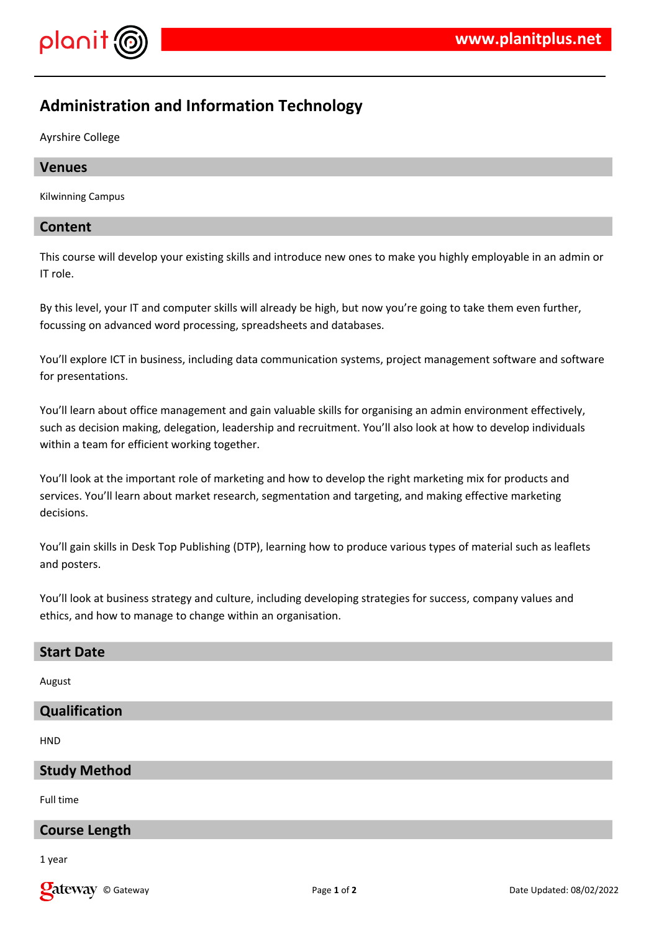

# **Administration and Information Technology**

Ayrshire College

### **Venues**

Kilwinning Campus

## **Content**

This course will develop your existing skills and introduce new ones to make you highly employable in an admin or IT role.

By this level, your IT and computer skills will already be high, but now you're going to take them even further, focussing on advanced word processing, spreadsheets and databases.

You'll explore ICT in business, including data communication systems, project management software and software for presentations.

You'll learn about office management and gain valuable skills for organising an admin environment effectively, such as decision making, delegation, leadership and recruitment. You'll also look at how to develop individuals within a team for efficient working together.

You'll look at the important role of marketing and how to develop the right marketing mix for products and services. You'll learn about market research, segmentation and targeting, and making effective marketing decisions.

You'll gain skills in Desk Top Publishing (DTP), learning how to produce various types of material such as leaflets and posters.

You'll look at business strategy and culture, including developing strategies for success, company values and ethics, and how to manage to change within an organisation.

#### **Start Date**

August

## **Qualification**

**HND** 

#### **Study Method**

Full time

### **Course Length**

1 year